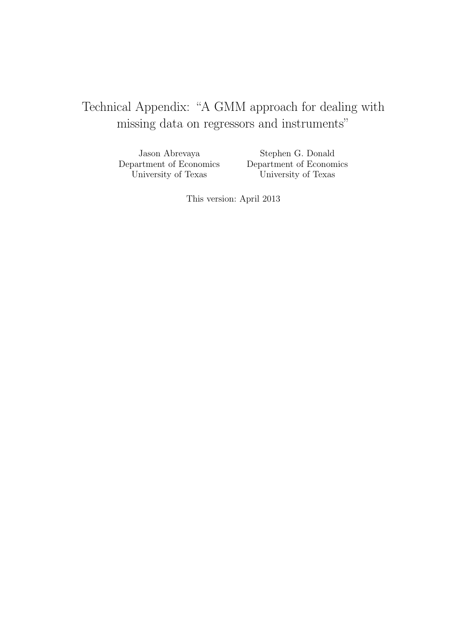## Technical Appendix: "A GMM approach for dealing with missing data on regressors and instruments"

Jason Abrevaya Department of Economics University of Texas

Stephen G. Donald Department of Economics University of Texas

This version: April 2013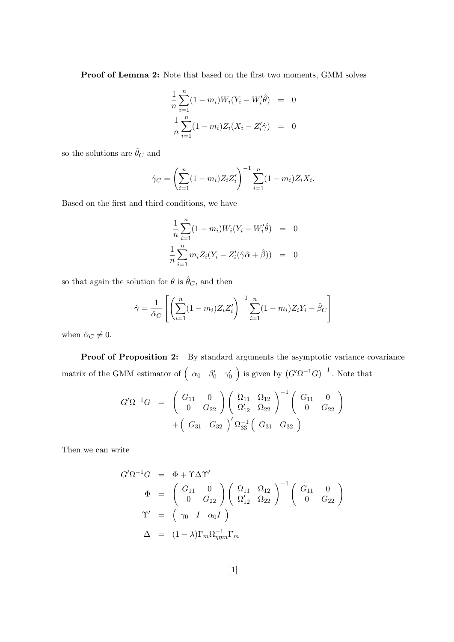Proof of Lemma 2: Note that based on the first two moments, GMM solves

$$
\frac{1}{n} \sum_{i=1}^{n} (1 - m_i) W_i (Y_i - W'_i \hat{\theta}) = 0
$$
  

$$
\frac{1}{n} \sum_{i=1}^{n} (1 - m_i) Z_i (X_i - Z'_i \hat{\gamma}) = 0
$$

so the solutions are  $\hat{\theta}_{C}$  and

$$
\hat{\gamma}_C = \left(\sum_{i=1}^n (1 - m_i) Z_i Z_i'\right)^{-1} \sum_{i=1}^n (1 - m_i) Z_i X_i.
$$

Based on the first and third conditions, we have

$$
\frac{1}{n} \sum_{i=1}^{n} (1 - m_i) W_i (Y_i - W'_i \hat{\theta}) = 0
$$
  

$$
\frac{1}{n} \sum_{i=1}^{n} m_i Z_i (Y_i - Z'_i (\hat{\gamma} \hat{\alpha} + \hat{\beta})) = 0
$$

so that again the solution for  $\theta$  is  $\hat{\theta}_C,$  and then

$$
\hat{\gamma} = \frac{1}{\hat{\alpha}_C} \left[ \left( \sum_{i=1}^n (1 - m_i) Z_i Z_i' \right)^{-1} \sum_{i=1}^n (1 - m_i) Z_i Y_i - \hat{\beta}_C \right]
$$

when  $\hat{\alpha}_C \neq 0$ .

Proof of Proposition 2: By standard arguments the asymptotic variance covariance matrix of the GMM estimator of  $\left(\begin{array}{cc} \alpha_0 & \beta'_0 & \gamma'_0 \end{array}\right)$  is given by  $(G'\Omega^{-1}G)^{-1}$ . Note that

$$
G'\Omega^{-1}G = \begin{pmatrix} G_{11} & 0 \\ 0 & G_{22} \end{pmatrix} \begin{pmatrix} \Omega_{11} & \Omega_{12} \\ \Omega'_{12} & \Omega_{22} \end{pmatrix}^{-1} \begin{pmatrix} G_{11} & 0 \\ 0 & G_{22} \end{pmatrix} + \begin{pmatrix} G_{31} & G_{32} \end{pmatrix}' \Omega_{33}^{-1} \begin{pmatrix} G_{31} & G_{32} \end{pmatrix}
$$

Then we can write

$$
G'\Omega^{-1}G = \Phi + \Upsilon \Delta \Upsilon'
$$
  
\n
$$
\Phi = \begin{pmatrix} G_{11} & 0 \\ 0 & G_{22} \end{pmatrix} \begin{pmatrix} \Omega_{11} & \Omega_{12} \\ \Omega'_{12} & \Omega_{22} \end{pmatrix}^{-1} \begin{pmatrix} G_{11} & 0 \\ 0 & G_{22} \end{pmatrix}
$$
  
\n
$$
\Upsilon' = \begin{pmatrix} \gamma_0 & I & \alpha_0 I \end{pmatrix}
$$
  
\n
$$
\Delta = (1 - \lambda) \Gamma_m \Omega_{\eta \eta m}^{-1} \Gamma_m
$$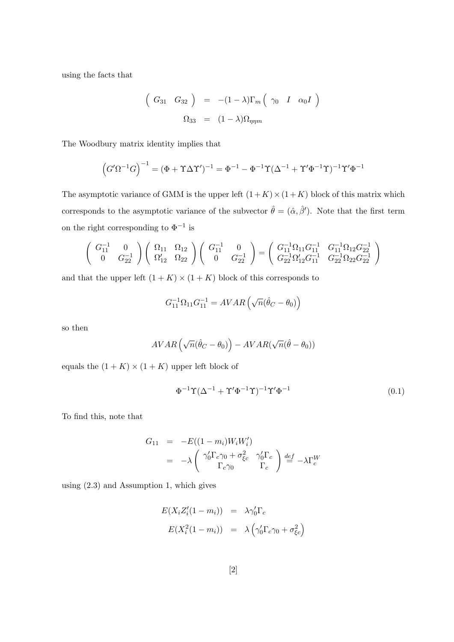using the facts that

$$
\left(\begin{array}{cc} G_{31} & G_{32} \end{array}\right) \quad = \quad -(1-\lambda)\Gamma_m \left(\begin{array}{ccc} \gamma_0 & I & \alpha_0 I \end{array}\right)
$$
\n
$$
\Omega_{33} \quad = \quad (1-\lambda)\Omega_{\eta\eta m}
$$

The Woodbury matrix identity implies that

$$
(G'\Omega^{-1}G)^{-1} = (\Phi + \Upsilon \Delta \Upsilon')^{-1} = \Phi^{-1} - \Phi^{-1} \Upsilon (\Delta^{-1} + \Upsilon' \Phi^{-1} \Upsilon)^{-1} \Upsilon' \Phi^{-1}
$$

The asymptotic variance of GMM is the upper left  $(1 + K) \times (1 + K)$  block of this matrix which corresponds to the asymptotic variance of the subvector  $\hat{\theta} = (\hat{\alpha}, \hat{\beta}')$ . Note that the first term on the right corresponding to  $\Phi^{-1}$  is

$$
\begin{pmatrix} G_{11}^{-1} & 0 \\ 0 & G_{22}^{-1} \end{pmatrix} \begin{pmatrix} \Omega_{11} & \Omega_{12} \\ \Omega_{12}' & \Omega_{22} \end{pmatrix} \begin{pmatrix} G_{11}^{-1} & 0 \\ 0 & G_{22}^{-1} \end{pmatrix} = \begin{pmatrix} G_{11}^{-1}\Omega_{11}G_{11}^{-1} & G_{11}^{-1}\Omega_{12}G_{22}^{-1} \\ G_{22}^{-1}\Omega_{12}'G_{11}^{-1} & G_{22}^{-1}\Omega_{22}G_{22}^{-1} \end{pmatrix}
$$

and that the upper left  $(1 + K) \times (1 + K)$  block of this corresponds to

$$
G_{11}^{-1}\Omega_{11}G_{11}^{-1}=AVAR\left(\sqrt{n}(\hat{\theta}_C-\theta_0)\right)
$$

so then

$$
AVAR\left(\sqrt{n}(\hat{\theta}_C - \theta_0)\right) - AVAR(\sqrt{n}(\hat{\theta} - \theta_0))
$$

equals the  $(1 + K) \times (1 + K)$  upper left block of

$$
\Phi^{-1}\Upsilon(\Delta^{-1} + \Upsilon'\Phi^{-1}\Upsilon)^{-1}\Upsilon'\Phi^{-1} \tag{0.1}
$$

To find this, note that

$$
G_{11} = -E((1 - m_i)W_iW_i')
$$
  
= 
$$
-\lambda \begin{pmatrix} \gamma'_0\Gamma_c\gamma_0 + \sigma_{\xi_c}^2 & \gamma'_0\Gamma_c \\ \Gamma_c\gamma_0 & \Gamma_c \end{pmatrix} \stackrel{def}{=} -\lambda\Gamma_c^W
$$

using (2.3) and Assumption 1, which gives

$$
E(X_i Z_i'(1 - m_i)) = \lambda \gamma_0' \Gamma_c
$$
  

$$
E(X_i^2(1 - m_i)) = \lambda \left(\gamma_0' \Gamma_c \gamma_0 + \sigma_{\xi_c}^2\right)
$$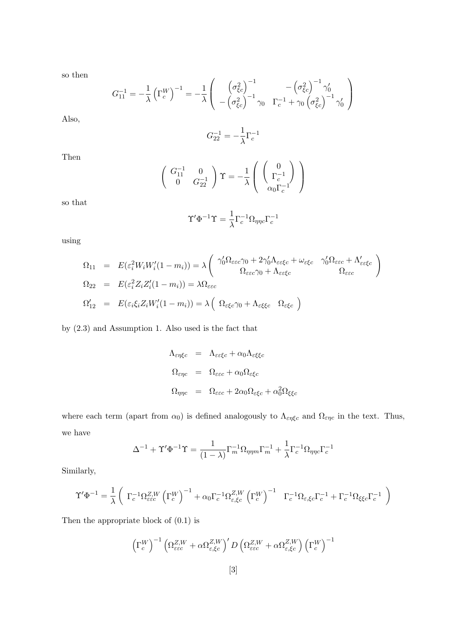so then

$$
G_{11}^{-1} = -\frac{1}{\lambda} \left( \Gamma_c^W \right)^{-1} = -\frac{1}{\lambda} \begin{pmatrix} \left( \sigma_{\xi c}^2 \right)^{-1} & -\left( \sigma_{\xi c}^2 \right)^{-1} \gamma_0' \\ -\left( \sigma_{\xi c}^2 \right)^{-1} \gamma_0 & \Gamma_c^{-1} + \gamma_0 \left( \sigma_{\xi c}^2 \right)^{-1} \gamma_0' \end{pmatrix}
$$

Also,

$$
G_{22}^{-1} = -\frac{1}{\lambda} \Gamma_c^{-1}
$$

Then

$$
\left(\begin{array}{cc} G_{11}^{-1} & 0\\ 0 & G_{22}^{-1} \end{array}\right) \Upsilon = -\frac{1}{\lambda} \left(\begin{array}{c} 0\\ \Gamma_c^{-1} \\ \alpha_0 \Gamma_c^{-1} \end{array}\right)
$$

so that

$$
\Upsilon'\Phi^{-1}\Upsilon = \frac{1}{\lambda}\Gamma_c^{-1}\Omega_{\eta\eta c}\Gamma_c^{-1}
$$

using

$$
\Omega_{11} = E(\varepsilon_i^2 W_i W_i'(1 - m_i)) = \lambda \left( \begin{array}{cc} \gamma_0' \Omega_{\varepsilon \varepsilon \varepsilon} \gamma_0 + 2 \gamma_0' \Lambda_{\varepsilon \varepsilon \xi c} + \omega_{\varepsilon \xi c} & \gamma_0' \Omega_{\varepsilon \varepsilon c} + \Lambda_{\varepsilon \varepsilon \xi c}' \\ \Omega_{22} = E(\varepsilon_i^2 Z_i Z_i'(1 - m_i)) = \lambda \Omega_{\varepsilon \varepsilon c} & \Omega_{\varepsilon \xi c} \\ \Omega_{12}' = E(\varepsilon_i \xi_i Z_i W_i'(1 - m_i)) = \lambda \left( \Omega_{\varepsilon \xi c} \gamma_0 + \Lambda_{\varepsilon \xi \xi c} & \Omega_{\varepsilon \xi c} \right) \end{array} \right)
$$

by (2.3) and Assumption 1. Also used is the fact that

$$
\Lambda_{\varepsilon\eta\xi c} = \Lambda_{\varepsilon\varepsilon\xi c} + \alpha_0 \Lambda_{\varepsilon\xi\xi c}
$$
  
\n
$$
\Omega_{\varepsilon\eta c} = \Omega_{\varepsilon\varepsilon c} + \alpha_0 \Omega_{\varepsilon\xi c}
$$
  
\n
$$
\Omega_{\eta\eta c} = \Omega_{\varepsilon\varepsilon c} + 2\alpha_0 \Omega_{\varepsilon\xi c} + \alpha_0^2 \Omega_{\xi\xi c}
$$

where each term (apart from  $\alpha_0$ ) is defined analogously to  $\Lambda_{\varepsilon\eta\xi c}$  and  $\Omega_{\varepsilon\eta c}$  in the text. Thus, we have

$$
\Delta^{-1}+\Upsilon'\Phi^{-1}\Upsilon=\frac{1}{(1-\lambda)}\Gamma_m^{-1}\Omega_{\eta\eta m}\Gamma_m^{-1}+\frac{1}{\lambda}\Gamma_c^{-1}\Omega_{\eta\eta c}\Gamma_c^{-1}
$$

Similarly,

$$
\Upsilon' \Phi^{-1} = \frac{1}{\lambda} \left( \Gamma_c^{-1} \Omega_{\varepsilon \varepsilon c}^{Z,W} \left( \Gamma_c^W \right)^{-1} + \alpha_0 \Gamma_c^{-1} \Omega_{\varepsilon, \xi c}^{Z,W} \left( \Gamma_c^W \right)^{-1} \Gamma_c^{-1} \Omega_{\varepsilon, \xi c} \Gamma_c^{-1} + \Gamma_c^{-1} \Omega_{\xi \xi c} \Gamma_c^{-1} \right)
$$

Then the appropriate block of (0.1) is

$$
\left(\Gamma_c^W\right)^{-1}\left(\Omega_{\varepsilon\varepsilon c}^{Z,W}+\alpha \Omega_{\varepsilon,\xi c}^{Z,W}\right)^\prime D\left(\Omega_{\varepsilon\varepsilon c}^{Z,W}+\alpha \Omega_{\varepsilon,\xi c}^{Z,W}\right)\left(\Gamma_c^W\right)^{-1}
$$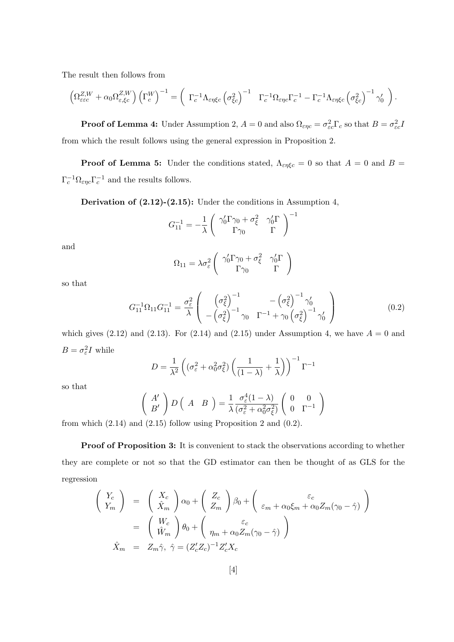The result then follows from

$$
\left(\Omega_{\varepsilon\varepsilon c}^{Z,W}+\alpha_0\Omega_{\varepsilon,\xi c}^{Z,W}\right)\left(\Gamma_c^W\right)^{-1}=\left(\begin{array}{cc} \Gamma_c^{-1}\Lambda_{\varepsilon\eta\xi c}\left(\sigma_{\xi c}^2\right)^{-1} & \Gamma_c^{-1}\Omega_{\varepsilon\eta c}\Gamma_c^{-1}-\Gamma_c^{-1}\Lambda_{\varepsilon\eta\xi c}\left(\sigma_{\xi c}^2\right)^{-1}\gamma_0' \end{array}\right).
$$

**Proof of Lemma 4:** Under Assumption 2,  $A = 0$  and also  $\Omega_{\varepsilon\eta c} = \sigma_{\varepsilon c}^2 \Gamma_c$  so that  $B = \sigma_{\varepsilon c}^2 I$ from which the result follows using the general expression in Proposition 2.

**Proof of Lemma 5:** Under the conditions stated,  $\Lambda_{\epsilon\eta\xi c} = 0$  so that  $A = 0$  and  $B = \Lambda_{\epsilon\eta\xi}$  $\Gamma_c^{-1} \Omega_{\varepsilon \eta c} \Gamma_c^{-1}$  and the results follows.

Derivation of  $(2.12)-(2.15)$ : Under the conditions in Assumption 4,

$$
G_{11}^{-1}=-\frac{1}{\lambda}\left(\begin{array}{cc}\gamma_0'\Gamma\gamma_0+\sigma_\xi^2 & \gamma_0'\Gamma \\ \Gamma\gamma_0 & \Gamma\end{array}\right)^{-1}
$$

and

$$
\Omega_{11} = \lambda \sigma_\varepsilon^2 \left( \begin{array}{cc} \gamma_0' \Gamma \gamma_0 + \sigma_\xi^2 & \gamma_0' \Gamma \\ \Gamma \gamma_0 & \Gamma \end{array} \right)
$$

so that

$$
G_{11}^{-1}\Omega_{11}G_{11}^{-1} = \frac{\sigma_{\varepsilon}^{2}}{\lambda} \left( \begin{array}{cc} \left(\sigma_{\xi}^{2}\right)^{-1} & -\left(\sigma_{\xi}^{2}\right)^{-1}\gamma_{0}^{\prime} \\ -\left(\sigma_{\xi}^{2}\right)^{-1}\gamma_{0} & \Gamma^{-1}+\gamma_{0}\left(\sigma_{\xi}^{2}\right)^{-1}\gamma_{0}^{\prime} \end{array} \right) \tag{0.2}
$$

which gives  $(2.12)$  and  $(2.13)$ . For  $(2.14)$  and  $(2.15)$  under Assumption 4, we have  $A = 0$  and  $B = \sigma_{\varepsilon}^2 I$  while

$$
D = \frac{1}{\lambda^2} \left( (\sigma_{\varepsilon}^2 + \alpha_0^2 \sigma_{\xi}^2) \left( \frac{1}{(1 - \lambda)} + \frac{1}{\lambda} \right) \right)^{-1} \Gamma^{-1}
$$

so that

$$
\begin{pmatrix}\nA' \\
B'\n\end{pmatrix} D\begin{pmatrix}\nA & B\n\end{pmatrix} = \frac{1}{\lambda} \frac{\sigma_{\varepsilon}^4 (1-\lambda)}{(\sigma_{\varepsilon}^2 + \alpha_0^2 \sigma_{\xi}^2)} \begin{pmatrix}\n0 & 0 \\
0 & \Gamma^{-1}\n\end{pmatrix}
$$

from which  $(2.14)$  and  $(2.15)$  follow using Proposition 2 and  $(0.2)$ .

Proof of Proposition 3: It is convenient to stack the observations according to whether they are complete or not so that the GD estimator can then be thought of as GLS for the regression

$$
\begin{pmatrix}\nY_c \\
Y_m\n\end{pmatrix} = \begin{pmatrix}\nX_c \\
\hat{X}_m\n\end{pmatrix} \alpha_0 + \begin{pmatrix}\nZ_c \\
Z_m\n\end{pmatrix} \beta_0 + \begin{pmatrix}\n\varepsilon_c \\
\varepsilon_m + \alpha_0 \xi_m + \alpha_0 Z_m (\gamma_0 - \hat{\gamma})\n\end{pmatrix}
$$
\n
$$
= \begin{pmatrix}\nW_c \\
\hat{W}_m\n\end{pmatrix} \theta_0 + \begin{pmatrix}\n\varepsilon_c \\
\eta_m + \alpha_0 Z_m (\gamma_0 - \hat{\gamma})\n\end{pmatrix}
$$
\n
$$
\hat{X}_m = Z_m \hat{\gamma}, \ \hat{\gamma} = (Z_c' Z_c)^{-1} Z_c' X_c
$$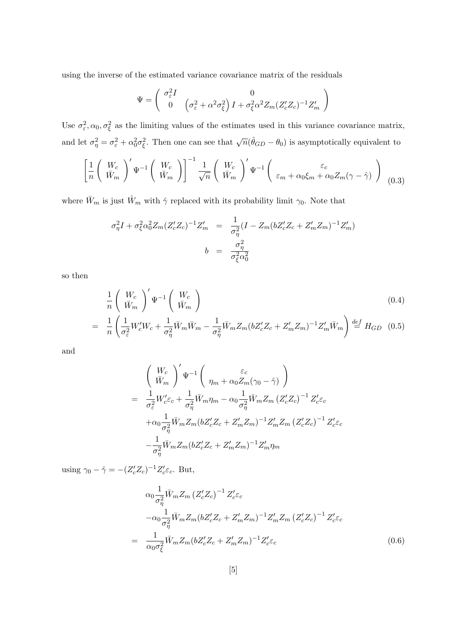using the inverse of the estimated variance covariance matrix of the residuals

$$
\Psi = \begin{pmatrix} \sigma_{\varepsilon}^2 I & 0 \\ 0 & \left(\sigma_{\varepsilon}^2 + \alpha^2 \sigma_{\xi}^2\right) I + \sigma_{\xi}^2 \alpha^2 Z_m (Z_c' Z_c)^{-1} Z_m' \end{pmatrix}
$$

Use  $\sigma_{\varepsilon}^2$ ,  $\alpha_0$ ,  $\sigma_{\xi}^2$  as the limiting values of the estimates used in this variance covariance matrix, and let  $\sigma_{\eta}^2 = \sigma_{\varepsilon}^2 + \alpha_0^2 \sigma_{\xi}^2$ . Then one can see that  $\sqrt{n}(\hat{\theta}_{GD} - \theta_0)$  is asymptotically equivalent to

$$
\left[\frac{1}{n}\left(\begin{array}{c}W_c\\ \bar{W}_m\end{array}\right)'\Psi^{-1}\left(\begin{array}{c}W_c\\ \bar{W}_m\end{array}\right)\right]^{-1}\frac{1}{\sqrt{n}}\left(\begin{array}{c}W_c\\ \bar{W}_m\end{array}\right)'\Psi^{-1}\left(\begin{array}{c}\varepsilon_c\\ \varepsilon_m+\alpha_0\xi_m+\alpha_0Z_m(\gamma-\hat{\gamma})\end{array}\right)_{(0.3)}
$$

where  $\bar{W}_m$  is just  $\hat{W}_m$  with  $\hat{\gamma}$  replaced with its probability limit  $\gamma_0.$  Note that

$$
\sigma_{\eta}^{2}I + \sigma_{\xi}^{2}\alpha_{0}^{2}Z_{m}(Z_{c}'Z_{c})^{-1}Z_{m}' = \frac{1}{\sigma_{\eta}^{2}}(I - Z_{m}(bZ_{c}'Z_{c} + Z_{m}'Z_{m})^{-1}Z_{m}')
$$

$$
b = \frac{\sigma_{\eta}^{2}}{\sigma_{\xi}^{2}\alpha_{0}^{2}}
$$

so then

$$
\frac{1}{n} \left( \frac{W_c}{\bar{W}_m} \right)' \Psi^{-1} \left( \frac{W_c}{\bar{W}_m} \right) \tag{0.4}
$$
\n
$$
= \frac{1}{n} \left( \frac{1}{\sigma_{\varepsilon}^2} W_c' W_c + \frac{1}{\sigma_{\eta}^2} \bar{W}_m \bar{W}_m - \frac{1}{\sigma_{\eta}^2} \bar{W}_m Z_m (b Z_c' Z_c + Z_m' Z_m)^{-1} Z_m' \bar{W}_m \right) \stackrel{\text{def}}{=} H_{GD} \tag{0.5}
$$

and

$$
\begin{aligned}\n&\left(\begin{array}{c}\nW_c \\
\bar{W}_m\n\end{array}\right)' \Psi^{-1}\left(\begin{array}{c}\n\varepsilon_c \\
\eta_m + \alpha_0 Z_m(\gamma_0 - \hat{\gamma})\n\end{array}\right) \\
&= \frac{1}{\sigma_{\varepsilon}^2} W_c' \varepsilon_c + \frac{1}{\sigma_{\eta}^2} \bar{W}_m \eta_m - \alpha_0 \frac{1}{\sigma_{\eta}^2} \bar{W}_m Z_m \left(Z_c' Z_c\right)^{-1} Z_c' \varepsilon_c \\
&+ \alpha_0 \frac{1}{\sigma_{\eta}^2} \bar{W}_m Z_m (b Z_c' Z_c + Z_m' Z_m)^{-1} Z_m' Z_m \left(Z_c' Z_c\right)^{-1} Z_c' \varepsilon_c \\
&- \frac{1}{\sigma_{\eta}^2} \bar{W}_m Z_m (b Z_c' Z_c + Z_m' Z_m)^{-1} Z_m' \eta_m\n\end{aligned}
$$

using  $\gamma_0 - \hat{\gamma} = -(Z_c' Z_c)^{-1} Z_c' \varepsilon_c$ . But,

$$
\alpha_0 \frac{1}{\sigma_\eta^2} \bar{W}_m Z_m \left(Z_c' Z_c\right)^{-1} Z_c' \varepsilon_c
$$
  
\n
$$
-\alpha_0 \frac{1}{\sigma_\eta^2} \bar{W}_m Z_m \left(bZ_c' Z_c + Z_m' Z_m\right)^{-1} Z_m' Z_m \left(Z_c' Z_c\right)^{-1} Z_c' \varepsilon_c
$$
  
\n
$$
= \frac{1}{\alpha_0 \sigma_\xi^2} \bar{W}_m Z_m \left(bZ_c' Z_c + Z_m' Z_m\right)^{-1} Z_c' \varepsilon_c
$$
\n(0.6)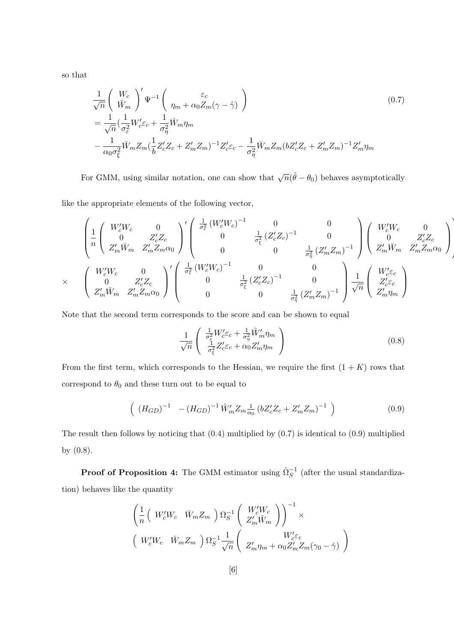so that

$$
\frac{1}{\sqrt{n}} \left( \frac{W_c}{\bar{W}_m} \right)' \Psi^{-1} \left( \frac{\varepsilon_c}{\eta_m + \alpha_0 Z_m (\gamma - \hat{\gamma})} \right)
$$
\n
$$
= \frac{1}{\sqrt{n}} \left( \frac{1}{\sigma_{\varepsilon}^2} W_c' \varepsilon_c + \frac{1}{\sigma_{\eta}^2} \bar{W}_m \eta_m \right)
$$
\n
$$
- \frac{1}{\alpha_0 \sigma_{\xi}^2} \bar{W}_m Z_m \left( \frac{1}{b} Z_c' Z_c + Z_m' Z_m \right)^{-1} Z_c' \varepsilon_c - \frac{1}{\sigma_{\eta}^2} \bar{W}_m Z_m (b Z_c' Z_c + Z_m' Z_m)^{-1} Z_m' \eta_m
$$
\n(0.7)

For GMM, using similar notation, one can show that  $\sqrt{n}(\hat{\theta} - \theta_0)$  behaves asymptotically

like the appropriate elements of the following vector,

$$
\begin{pmatrix}\n1 & W_c' W_c & 0 \\
0 & Z_c' Z_c \\
Z_m' \bar{W}_m & Z_m' Z_m \alpha_0\n\end{pmatrix}' \begin{pmatrix}\n\frac{1}{\sigma_{\varepsilon}^2} \left(W_c' W_c\right)^{-1} & 0 & 0 \\
0 & \frac{1}{\sigma_{\varepsilon}^2} \left(Z_c' Z_c\right)^{-1} & 0 \\
0 & 0 & \frac{1}{\sigma_{\eta}^2} \left(Z_m' Z_m\right)^{-1}\n\end{pmatrix} \begin{pmatrix}\nW_c' W_c & 0 \\
0 & Z_c' Z_c \\
Z_m' \bar{W}_m & Z_m' Z_m \alpha_0\n\end{pmatrix}
$$
\n
$$
\times \begin{pmatrix}\nW_c' W_c & 0 \\
0 & Z_c' Z_c \\
Z_m' \bar{W}_m & Z_m' Z_m \alpha_0\n\end{pmatrix}' \begin{pmatrix}\n\frac{1}{\sigma_{\varepsilon}^2} \left(W_c' W_c\right)^{-1} & 0 & 0 \\
0 & \frac{1}{\sigma_{\varepsilon}^2} \left(Z_c' Z_c\right)^{-1} & 0 \\
0 & 0 & \frac{1}{\sigma_{\varepsilon}^2} \left(Z_c' Z_c\right)^{-1}\n\end{pmatrix} \frac{1}{\sqrt{n}} \begin{pmatrix}\nW_c' E_c \\
Z_c' E_c \\
Z_m' \bar{W}_m\n\end{pmatrix}
$$

Note that the second term corresponds to the score and can be shown to equal

$$
\frac{1}{\sqrt{n}} \begin{pmatrix} \frac{1}{\sigma_{\xi}^2} W_{c}^{\prime} \varepsilon_{c} + \frac{1}{\sigma_{\eta}^2} \hat{W}_{m}^{\prime} \eta_{m} \\ \frac{1}{\sigma_{\xi}^2} Z_{c}^{\prime} \varepsilon_{c} + \alpha_{0} Z_{m}^{\prime} \eta_{m} \end{pmatrix}
$$
(0.8)

Ì

From the first term, which corresponds to the Hessian, we require the first  $(1 + K)$  rows that correspond to  $\theta_0$  and these turn out to be equal to

$$
\left( \left( H_{GD} \right)^{-1} - \left( H_{GD} \right)^{-1} \hat{W}'_m Z_m \frac{1}{\alpha_0} \left( b Z_c' Z_c + Z_m' Z_m \right)^{-1} \right) \tag{0.9}
$$

The result then follows by noticing that  $(0.4)$  multiplied by  $(0.7)$  is identical to  $(0.9)$  multiplied by (0.8).

**Proof of Proposition 4:** The GMM estimator using  $\hat{\Omega}_S^{-1}$  (after the usual standardization) behaves like the quantity

$$
\begin{aligned}\n&\left(\frac{1}{n}\left(W_c'W_c \quad \bar{W}_m Z_m\right)\Omega_S^{-1}\left(\begin{array}{c} W_c'W_c\\ Z_m'\bar{W}_m \end{array}\right)\right)^{-1} \times \\
&\left(W_c'W_c \quad \bar{W}_m Z_m\right)\Omega_S^{-1}\frac{1}{\sqrt{n}}\left(\begin{array}{c} W_c'\varepsilon_c\\ Z_m'\eta_m + \alpha_0 Z_m'Z_m(\gamma_0 - \hat{\gamma}) \end{array}\right)\n\end{aligned}
$$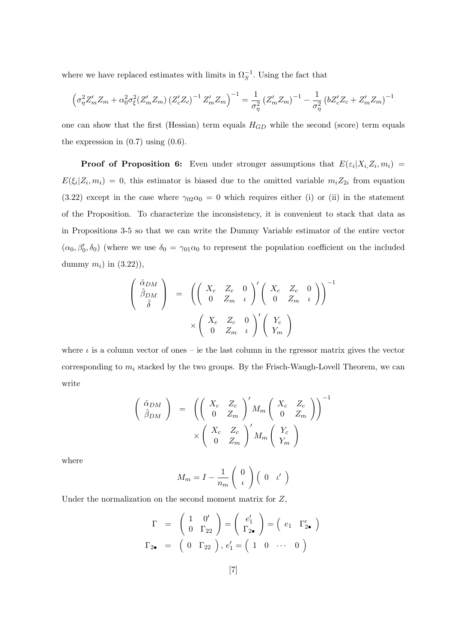where we have replaced estimates with limits in  $\Omega_S^{-1}$ . Using the fact that

$$
\left(\sigma_{\eta}^{2}Z'_{m}Z_{m}+\alpha_{0}^{2}\sigma_{\xi}^{2}(Z'_{m}Z_{m})\left(Z'_{c}Z_{c}\right)^{-1}Z'_{m}Z_{m}\right)^{-1}=\frac{1}{\sigma_{\eta}^{2}}\left(Z'_{m}Z_{m}\right)^{-1}-\frac{1}{\sigma_{\eta}^{2}}\left(bZ'_{c}Z_{c}+Z'_{m}Z_{m}\right)^{-1}
$$

one can show that the first (Hessian) term equals  $H_{GD}$  while the second (score) term equals the expression in  $(0.7)$  using  $(0.6)$ .

**Proof of Proposition 6:** Even under stronger assumptions that  $E(\varepsilon_i | X_i, Z_i, m_i)$  =  $E(\xi_i|Z_i,m_i) = 0$ , this estimator is biased due to the omitted variable  $m_i Z_{2i}$  from equation (3.22) except in the case where  $\gamma_{02}\alpha_0 = 0$  which requires either (i) or (ii) in the statement of the Proposition. To characterize the inconsistency, it is convenient to stack that data as in Propositions 3-5 so that we can write the Dummy Variable estimator of the entire vector  $(\alpha_0, \beta'_0, \delta_0)$  (where we use  $\delta_0 = \gamma_{01}\alpha_0$  to represent the population coefficient on the included dummy  $m_i$ ) in  $(3.22)$ ),

$$
\begin{pmatrix}\n\hat{\alpha}_{DM} \\
\hat{\beta}_{DM} \\
\hat{\delta}\n\end{pmatrix} = \left( \begin{pmatrix}\nX_c & Z_c & 0 \\
0 & Z_m & \iota\n\end{pmatrix}' \begin{pmatrix}\nX_c & Z_c & 0 \\
0 & Z_m & \iota\n\end{pmatrix} \right)^{-1} \times \begin{pmatrix}\nX_c & Z_c & 0 \\
0 & Z_m & \iota\n\end{pmatrix}' \begin{pmatrix}\nY_c \\
Y_m\n\end{pmatrix}
$$

where  $\iota$  is a column vector of ones – ie the last column in the rgressor matrix gives the vector corresponding to  $m_i$  stacked by the two groups. By the Frisch-Waugh-Lovell Theorem, we can write

$$
\begin{pmatrix}\n\hat{\alpha}_{DM} \\
\hat{\beta}_{DM}\n\end{pmatrix} = \left( \begin{pmatrix}\nX_c & Z_c \\
0 & Z_m\n\end{pmatrix}' M_m \begin{pmatrix}\nX_c & Z_c \\
0 & Z_m\n\end{pmatrix} \right)^{-1} \times \left( \begin{pmatrix}\nX_c & Z_c \\
0 & Z_m\n\end{pmatrix}' M_m \begin{pmatrix}\nY_c \\
Y_m\n\end{pmatrix}
$$

where

$$
M_m = I - \frac{1}{n_m} \left( \begin{array}{c} 0 \\ i \end{array} \right) \left( \begin{array}{cc} 0 & \iota' \end{array} \right)
$$

Under the normalization on the second moment matrix for  $Z$ ,

$$
\Gamma = \begin{pmatrix} 1 & 0' \\ 0 & \Gamma_{22} \end{pmatrix} = \begin{pmatrix} e'_1 \\ \Gamma_{2\bullet} \end{pmatrix} = \begin{pmatrix} e_1 & \Gamma'_{2\bullet} \end{pmatrix}
$$

$$
\Gamma_{2\bullet} = \begin{pmatrix} 0 & \Gamma_{22} \end{pmatrix}, e'_1 = \begin{pmatrix} 1 & 0 & \cdots & 0 \end{pmatrix}
$$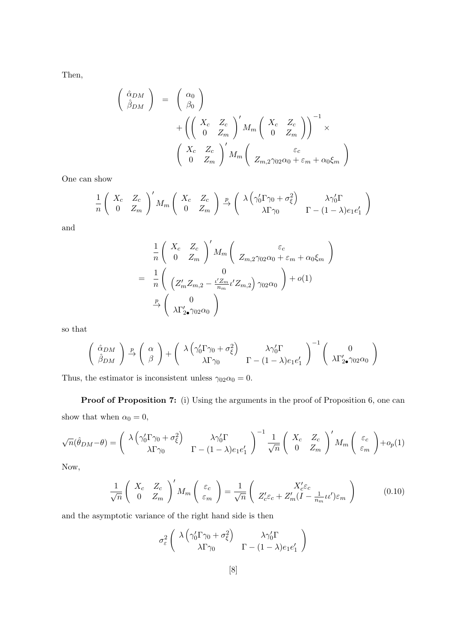Then,

$$
\begin{pmatrix}\n\hat{\alpha}_{DM} \\
\hat{\beta}_{DM}\n\end{pmatrix} = \begin{pmatrix}\n\alpha_0 \\
\beta_0\n\end{pmatrix} + \left( \begin{pmatrix}\nX_c & Z_c \\
0 & Z_m\n\end{pmatrix}' M_m \begin{pmatrix}\nX_c & Z_c \\
0 & Z_m\n\end{pmatrix} \right)^{-1} \times \left( \begin{pmatrix}\nX_c & Z_c \\
0 & Z_m\n\end{pmatrix}' M_m \begin{pmatrix}\n\varepsilon_c \\
Z_{m,2}\gamma_{02}\alpha_0 + \varepsilon_m + \alpha_0 \xi_m\n\end{pmatrix}
$$

One can show

$$
\frac{1}{n} \begin{pmatrix} X_c & Z_c \ 0 & Z_m \end{pmatrix}' M_m \begin{pmatrix} X_c & Z_c \ 0 & Z_m \end{pmatrix} \xrightarrow{p} \begin{pmatrix} \lambda \left( \gamma_0' \Gamma \gamma_0 + \sigma_{\xi}^2 \right) & \lambda \gamma_0' \Gamma \\ \lambda \Gamma \gamma_0 & \Gamma - (1 - \lambda) e_1 e_1' \end{pmatrix}
$$

and

$$
\frac{1}{n} \begin{pmatrix} X_c & Z_c \\ 0 & Z_m \end{pmatrix}' M_m \begin{pmatrix} \varepsilon_c \\ Z_{m,2} \gamma_{02} \alpha_0 + \varepsilon_m + \alpha_0 \xi_m \end{pmatrix}
$$
\n
$$
= \frac{1}{n} \begin{pmatrix} 0 \\ \left( Z'_m Z_{m,2} - \frac{\iota' Z_m}{n_m} \iota' Z_{m,2} \right) \gamma_{02} \alpha_0 \end{pmatrix} + o(1)
$$
\n
$$
\xrightarrow{p} \begin{pmatrix} 0 \\ \lambda \Gamma'_{2\bullet} \gamma_{02} \alpha_0 \end{pmatrix}
$$

so that

$$
\begin{pmatrix}\n\hat{\alpha}_{DM} \\
\hat{\beta}_{DM}\n\end{pmatrix}\n\stackrel{p}{\rightarrow}\n\begin{pmatrix}\n\alpha \\
\beta\n\end{pmatrix} +\n\begin{pmatrix}\n\lambda\left(\gamma_0'\Gamma\gamma_0 + \sigma_{\xi}^2\right) & \lambda\gamma_0'\Gamma \\
\lambda\Gamma\gamma_0 & \Gamma - (1-\lambda)e_1e_1'\n\end{pmatrix}^{-1}\n\begin{pmatrix}\n0 \\
\lambda\Gamma_{2\bullet}'\gamma_{02}\alpha_0\n\end{pmatrix}
$$

Thus, the estimator is inconsistent unless  $\gamma_{02}\alpha_0 = 0$ .

Proof of Proposition 7: (i) Using the arguments in the proof of Proposition 6, one can show that when  $\alpha_0 = 0$ ,

$$
\sqrt{n}(\hat{\theta}_{DM}-\theta) = \begin{pmatrix} \lambda \left(\gamma_0' \Gamma \gamma_0 + \sigma_{\xi}^2\right) & \lambda \gamma_0' \Gamma \\ \lambda \Gamma \gamma_0 & \Gamma - (1-\lambda)e_1 e_1' \end{pmatrix}^{-1} \frac{1}{\sqrt{n}} \begin{pmatrix} X_c & Z_c \\ 0 & Z_m \end{pmatrix}' M_m \begin{pmatrix} \varepsilon_c \\ \varepsilon_m \end{pmatrix} + o_p(1)
$$

Now,

$$
\frac{1}{\sqrt{n}} \begin{pmatrix} X_c & Z_c \\ 0 & Z_m \end{pmatrix}' M_m \begin{pmatrix} \varepsilon_c \\ \varepsilon_m \end{pmatrix} = \frac{1}{\sqrt{n}} \begin{pmatrix} X_c' \varepsilon_c \\ Z_c' \varepsilon_c + Z_m' (I - \frac{1}{n_m} u') \varepsilon_m \end{pmatrix}
$$
(0.10)

and the asymptotic variance of the right hand side is then

$$
\sigma_{\varepsilon}^{2} \left( \begin{array}{cc} \lambda \left( \gamma_{0}' \Gamma \gamma_{0} + \sigma_{\xi}^{2} \right) & \lambda \gamma_{0}' \Gamma \\ \lambda \Gamma \gamma_{0} & \Gamma - (1 - \lambda) e_{1} e_{1}' \end{array} \right)
$$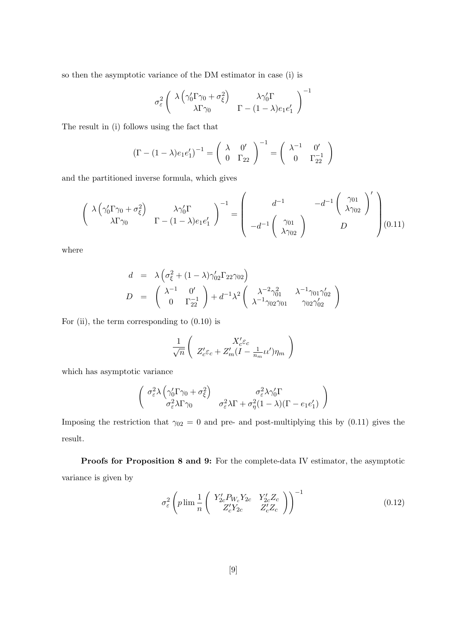so then the asymptotic variance of the DM estimator in case (i) is

$$
\sigma_{\varepsilon}^{2}\left(\begin{array}{cc} \lambda\left(\gamma_{0}'\Gamma\gamma_{0}+\sigma_{\xi}^{2}\right) & \lambda\gamma_{0}'\Gamma \\ \lambda\Gamma\gamma_{0} & \Gamma-(1-\lambda)e_{1}e_{1}' \end{array}\right)^{-1}
$$

The result in (i) follows using the fact that

$$
\left(\Gamma - (1 - \lambda)e_1e_1'\right)^{-1} = \begin{pmatrix} \lambda & 0'\\ 0 & \Gamma_{22} \end{pmatrix}^{-1} = \begin{pmatrix} \lambda^{-1} & 0'\\ 0 & \Gamma_{22}^{-1} \end{pmatrix}
$$

and the partitioned inverse formula, which gives

$$
\begin{pmatrix}\n\lambda \left(\gamma_0' \Gamma \gamma_0 + \sigma_\xi^2\right) & \lambda \gamma_0' \Gamma \\
\lambda \Gamma \gamma_0 & \Gamma - (1 - \lambda)e_1 e_1'\n\end{pmatrix}^{-1} = \begin{pmatrix}\nd^{-1} & -d^{-1} \begin{pmatrix} \gamma_{01} \\ \lambda \gamma_{02} \end{pmatrix}' \\
-d^{-1} \begin{pmatrix} \gamma_{01} \\ \lambda \gamma_{02} \end{pmatrix} & D\n\end{pmatrix} (0.11)
$$

where

$$
d = \lambda \left( \sigma_{\xi}^2 + (1 - \lambda) \gamma_{02}' \Gamma_{22} \gamma_{02} \right)
$$
  
\n
$$
D = \begin{pmatrix} \lambda^{-1} & 0' \\ 0 & \Gamma_{22}^{-1} \end{pmatrix} + d^{-1} \lambda^2 \begin{pmatrix} \lambda^{-2} \gamma_{01}^2 & \lambda^{-1} \gamma_{01} \gamma_{02}' \\ \lambda^{-1} \gamma_{02} \gamma_{01} & \gamma_{02} \gamma_{02}' \end{pmatrix}
$$

For (ii), the term corresponding to  $(0.10)$  is

$$
\frac{1}{\sqrt{n}} \left( \frac{X_c' \varepsilon_c}{Z_c' \varepsilon_c + Z_m' (I - \frac{1}{n_m} \iota \iota') \eta_m} \right)
$$

which has asymptotic variance

$$
\begin{pmatrix}\n\sigma_{\varepsilon}^{2} \lambda \left( \gamma_{0}^{\prime} \Gamma \gamma_{0} + \sigma_{\xi}^{2} \right) & \sigma_{\varepsilon}^{2} \lambda \gamma_{0}^{\prime} \Gamma \\
\sigma_{\varepsilon}^{2} \lambda \Gamma \gamma_{0} & \sigma_{\varepsilon}^{2} \lambda \Gamma + \sigma_{\eta}^{2} (1 - \lambda) (\Gamma - e_{1} e_{1}^{\prime})\n\end{pmatrix}
$$

Imposing the restriction that  $\gamma_{02} = 0$  and pre- and post-multiplying this by (0.11) gives the result.

Proofs for Proposition 8 and 9: For the complete-data IV estimator, the asymptotic variance is given by

$$
\sigma_{\varepsilon}^{2} \left( p \lim_{n} \frac{1}{n} \left( \begin{array}{cc} Y_{2c}^{\prime} P_{W_c} Y_{2c} & Y_{2c}^{\prime} Z_c \\ Z_c^{\prime} Y_{2c} & Z_c^{\prime} Z_c \end{array} \right) \right)^{-1} \tag{0.12}
$$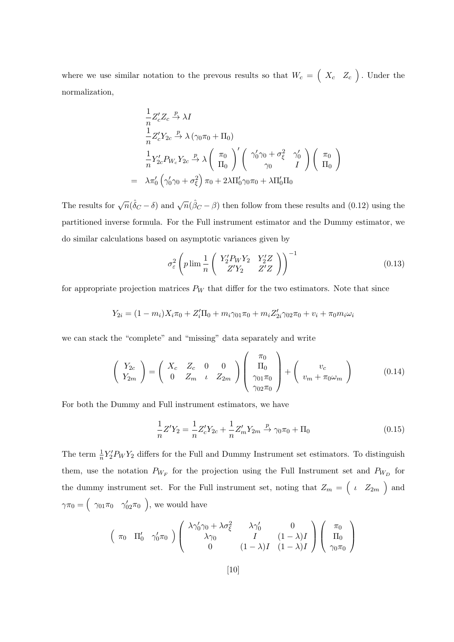where we use similar notation to the prevous results so that  $W_c = \begin{pmatrix} X_c & Z_c \end{pmatrix}$ . Under the normalization,

$$
\frac{1}{n} Z_c' Z_c \xrightarrow{p} \lambda I
$$
\n
$$
\frac{1}{n} Z_c' Y_{2c} \xrightarrow{p} \lambda (\gamma_0 \pi_0 + \Pi_0)
$$
\n
$$
\frac{1}{n} Y_{2c}' P_{W_c} Y_{2c} \xrightarrow{p} \lambda \left( \begin{array}{c} \pi_0 \\ \Pi_0 \end{array} \right)' \left( \begin{array}{c} \gamma'_0 \gamma_0 + \sigma_{\xi}^2 & \gamma'_0 \\ \gamma_0 & I \end{array} \right) \left( \begin{array}{c} \pi_0 \\ \Pi_0 \end{array} \right)
$$
\n
$$
\lambda \pi'_0 \left( \gamma'_0 \gamma_0 + \sigma_{\xi}^2 \right) \pi_0 + 2\lambda \Pi'_0 \gamma_0 \pi_0 + \lambda \Pi'_0 \Pi_0
$$

The results for  $\sqrt{n}(\hat{\delta}_C - \delta)$  and  $\sqrt{n}(\hat{\beta}_C - \beta)$  then follow from these results and (0.12) using the partitioned inverse formula. For the Full instrument estimator and the Dummy estimator, we do similar calculations based on asymptotic variances given by

$$
\sigma_{\varepsilon}^{2} \left( p \lim_{n} \frac{1}{n} \left( \begin{array}{cc} Y_{2}^{\prime} P_{W} Y_{2} & Y_{2}^{\prime} Z \\ Z^{\prime} Y_{2} & Z^{\prime} Z \end{array} \right) \right)^{-1} \tag{0.13}
$$

for appropriate projection matrices  $P_W$  that differ for the two estimators. Note that since

$$
Y_{2i} = (1 - m_i)X_i \pi_0 + Z_i' \Pi_0 + m_i \gamma_{01} \pi_0 + m_i Z_{2i}' \gamma_{02} \pi_0 + v_i + \pi_0 m_i \omega_i
$$

we can stack the "complete" and "missing" data separately and write

 $=$ 

$$
\begin{pmatrix} Y_{2c} \\ Y_{2m} \end{pmatrix} = \begin{pmatrix} X_c & Z_c & 0 & 0 \\ 0 & Z_m & \iota & Z_{2m} \end{pmatrix} \begin{pmatrix} \pi_0 \\ \Pi_0 \\ \gamma_{01}\pi_0 \\ \gamma_{02}\pi_0 \end{pmatrix} + \begin{pmatrix} v_c \\ v_m + \pi_0\omega_m \end{pmatrix}
$$
 (0.14)

For both the Dummy and Full instrument estimators, we have

$$
\frac{1}{n}Z'Y_2 = \frac{1}{n}Z_c'Y_{2c} + \frac{1}{n}Z_m'Y_{2m} \xrightarrow{p} \gamma_0 \pi_0 + \Pi_0
$$
\n(0.15)

The term  $\frac{1}{n}Y_2'P_WY_2$  differs for the Full and Dummy Instrument set estimators. To distinguish them, use the notation  $P_{W_F}$  for the projection using the Full Instrument set and  $P_{W_D}$  for the dummy instrument set. For the Full instrument set, noting that  $Z_m = \begin{pmatrix} i & Z_{2m} \end{pmatrix}$  and  $\gamma \pi_0 = \begin{pmatrix} \gamma_{01} \pi_0 & \gamma'_{02} \pi_0 \end{pmatrix}$ , we would have

$$
\begin{pmatrix}\n\pi_0 & \Pi'_0 & \gamma'_0 \pi_0\n\end{pmatrix}\n\begin{pmatrix}\n\lambda \gamma'_0 \gamma_0 + \lambda \sigma_\xi^2 & \lambda \gamma'_0 & 0 \\
\lambda \gamma_0 & I & (1 - \lambda)I \\
0 & (1 - \lambda)I & (1 - \lambda)I\n\end{pmatrix}\n\begin{pmatrix}\n\pi_0 \\
\Pi_0 \\
\gamma_0 \pi_0\n\end{pmatrix}
$$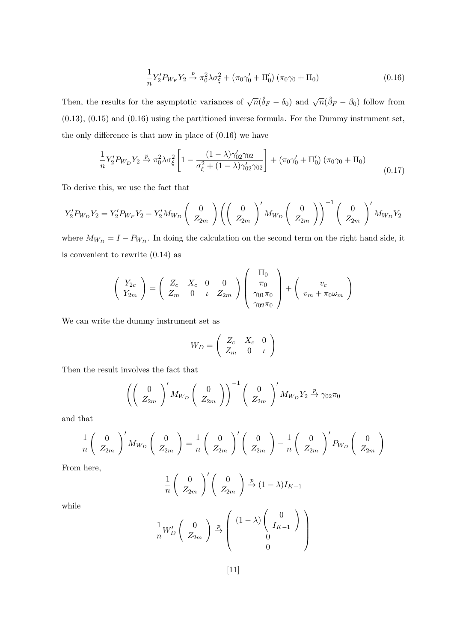$$
\frac{1}{n}Y_2'P_{W_F}Y_2 \xrightarrow{p} \pi_0^2 \lambda \sigma_{\xi}^2 + (\pi_0 \gamma_0' + \Pi_0') (\pi_0 \gamma_0 + \Pi_0)
$$
\n(0.16)

Then, the results for the asymptotic variances of  $\sqrt{n}(\hat{\delta}_F - \delta_0)$  and  $\sqrt{n}(\hat{\beta}_F - \beta_0)$  follow from (0.13), (0.15) and (0.16) using the partitioned inverse formula. For the Dummy instrument set, the only difference is that now in place of (0.16) we have

$$
\frac{1}{n}Y_2'P_{W_D}Y_2 \xrightarrow{p} \pi_0^2 \lambda \sigma_{\xi}^2 \left[1 - \frac{(1 - \lambda)\gamma_{02}'\gamma_{02}}{\sigma_{\xi}^2 + (1 - \lambda)\gamma_{02}'\gamma_{02}}\right] + (\pi_0\gamma_0' + \Pi_0') (\pi_0\gamma_0 + \Pi_0)
$$
\n(0.17)

To derive this, we use the fact that

$$
Y_2' P_{W_D} Y_2 = Y_2' P_{W_F} Y_2 - Y_2' M_{W_D} \begin{pmatrix} 0 \\ Z_{2m} \end{pmatrix} \left( \begin{pmatrix} 0 \\ Z_{2m} \end{pmatrix}' M_{W_D} \begin{pmatrix} 0 \\ Z_{2m} \end{pmatrix} \right)^{-1} \begin{pmatrix} 0 \\ Z_{2m} \end{pmatrix}' M_{W_D} Y_2
$$

where  $M_{W_D} = I - P_{W_D}$ . In doing the calculation on the second term on the right hand side, it is convenient to rewrite (0.14) as

$$
\begin{pmatrix} Y_{2c} \\ Y_{2m} \end{pmatrix} = \begin{pmatrix} Z_c & X_c & 0 & 0 \\ Z_m & 0 & \iota & Z_{2m} \end{pmatrix} \begin{pmatrix} \Pi_0 \\ \pi_0 \\ \gamma_{01}\pi_0 \\ \gamma_{02}\pi_0 \end{pmatrix} + \begin{pmatrix} v_c \\ v_m + \pi_0 \omega_m \end{pmatrix}
$$

We can write the dummy instrument set as

$$
W_D = \left(\begin{array}{ccc} Z_c & X_c & 0 \\ Z_m & 0 & \iota \end{array}\right)
$$

Then the result involves the fact that

$$
\left(\left(\begin{array}{c}0\\ Z_{2m}\end{array}\right)' M_{W_D}\left(\begin{array}{c}0\\ Z_{2m}\end{array}\right)\right)^{-1}\left(\begin{array}{c}0\\ Z_{2m}\end{array}\right)' M_{W_D} Y_2 \xrightarrow{p} \gamma_{02}\pi_0
$$

and that

$$
\frac{1}{n}\left(\begin{array}{c}0\\ Z_{2m}\end{array}\right)'M_{W_D}\left(\begin{array}{c}0\\ Z_{2m}\end{array}\right)=\frac{1}{n}\left(\begin{array}{c}0\\ Z_{2m}\end{array}\right)'\left(\begin{array}{c}0\\ Z_{2m}\end{array}\right)-\frac{1}{n}\left(\begin{array}{c}0\\ Z_{2m}\end{array}\right)'P_{W_D}\left(\begin{array}{c}0\\ Z_{2m}\end{array}\right)
$$

From here,

$$
\frac{1}{n} \begin{pmatrix} 0 \\ Z_{2m} \end{pmatrix}' \begin{pmatrix} 0 \\ Z_{2m} \end{pmatrix} \xrightarrow{p} (1 - \lambda) I_{K-1}
$$

while

$$
\frac{1}{n}W_D'\left(\begin{array}{c}0\\ Z_{2m}\end{array}\right)\xrightarrow{p}\left(\begin{array}{c}(1-\lambda)\begin{pmatrix}0\\ I_{K-1}\end{pmatrix}\\ 0\\ 0\end{array}\right)
$$